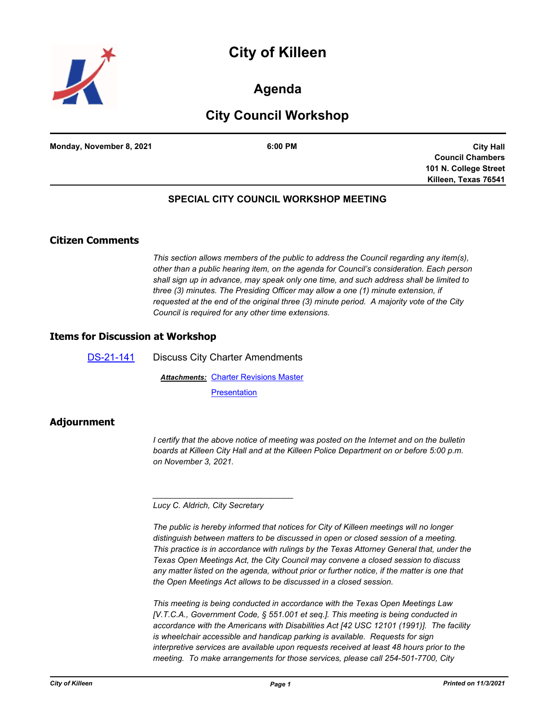# **City of Killeen**



## **Agenda**

# **City Council Workshop**

| Monday, November 8, 2021 | 6:00 PM |
|--------------------------|---------|
|                          |         |

**City Hall Council Chambers 101 N. College Street Killeen, Texas 76541**

### **SPECIAL CITY COUNCIL WORKSHOP MEETING**

### **Citizen Comments**

*This section allows members of the public to address the Council regarding any item(s), other than a public hearing item, on the agenda for Council's consideration. Each person shall sign up in advance, may speak only one time, and such address shall be limited to three (3) minutes. The Presiding Officer may allow a one (1) minute extension, if requested at the end of the original three (3) minute period. A majority vote of the City Council is required for any other time extensions.*

### **Items for Discussion at Workshop**

[DS-21-141](http://killeen.legistar.com/gateway.aspx?m=l&id=/matter.aspx?key=5763) Discuss City Charter Amendments **Attachments: [Charter Revisions Master](http://killeen.legistar.com/gateway.aspx?M=F&ID=2f2d9ae7-dde0-41ff-94d3-ed191b98c0dd.pdf) [Presentation](http://killeen.legistar.com/gateway.aspx?M=F&ID=038dc0d3-9fc3-4fa8-bf16-ad527d99a8e7.pdf)** 

# **Adjournment**

*I* certify that the above notice of meeting was posted on the Internet and on the bulletin *boards at Killeen City Hall and at the Killeen Police Department on or before 5:00 p.m. on November 3, 2021.*

*Lucy C. Aldrich, City Secretary* 

*\_\_\_\_\_\_\_\_\_\_\_\_\_\_\_\_\_\_\_\_\_\_\_\_\_\_\_\_\_\_\_*

*The public is hereby informed that notices for City of Killeen meetings will no longer distinguish between matters to be discussed in open or closed session of a meeting. This practice is in accordance with rulings by the Texas Attorney General that, under the Texas Open Meetings Act, the City Council may convene a closed session to discuss any matter listed on the agenda, without prior or further notice, if the matter is one that the Open Meetings Act allows to be discussed in a closed session.*

*This meeting is being conducted in accordance with the Texas Open Meetings Law [V.T.C.A., Government Code, § 551.001 et seq.]. This meeting is being conducted in accordance with the Americans with Disabilities Act [42 USC 12101 (1991)]. The facility is wheelchair accessible and handicap parking is available. Requests for sign interpretive services are available upon requests received at least 48 hours prior to the meeting. To make arrangements for those services, please call 254-501-7700, City*